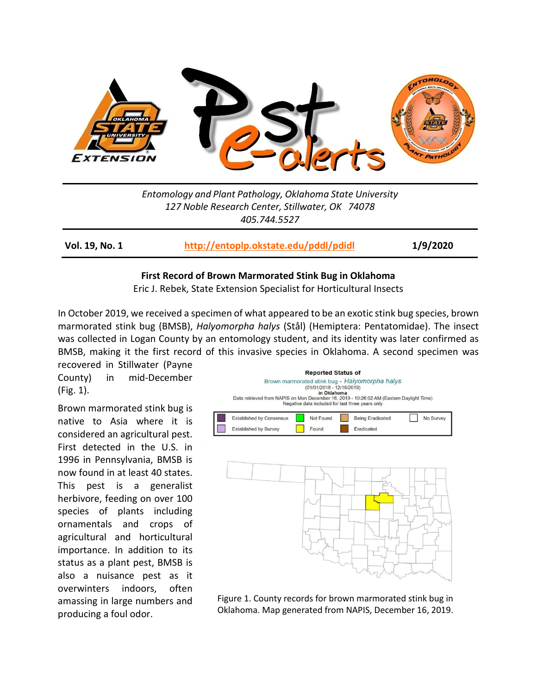

*Entomology and Plant Pathology, Oklahoma State University 127 Noble Research Center, Stillwater, OK 74078 405.744.5527*

**Vol. 19, No. 1 <http://entoplp.okstate.edu/pddl/pdidl> 1/9/2020**

#### **First Record of Brown Marmorated Stink Bug in Oklahoma**

Eric J. Rebek, State Extension Specialist for Horticultural Insects

In October 2019, we received a specimen of what appeared to be an exotic stink bug species, brown marmorated stink bug (BMSB), *Halyomorpha halys* (Stål) (Hemiptera: Pentatomidae). The insect was collected in Logan County by an entomology student, and its identity was later confirmed as BMSB, making it the first record of this invasive species in Oklahoma. A second specimen was

recovered in Stillwater (Payne County) in mid-December (Fig. 1).

Brown marmorated stink bug is native to Asia where it is considered an agricultural pest. First detected in the U.S. in 1996 in Pennsylvania, BMSB is now found in at least 40 states. This pest is a generalist herbivore, feeding on over 100 species of plants including ornamentals and crops of agricultural and horticultural importance. In addition to its status as a plant pest, BMSB is also a nuisance pest as it overwinters indoors, often amassing in large numbers and producing a foul odor.



Figure 1. County records for brown marmorated stink bug in Oklahoma. Map generated from NAPIS, December 16, 2019.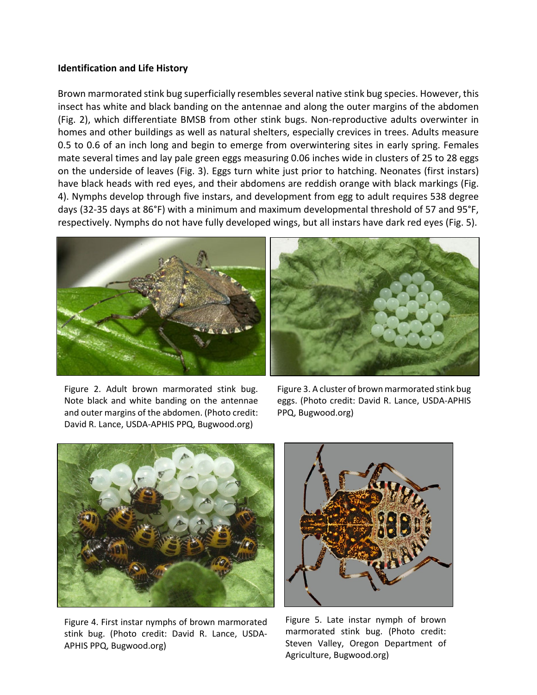## **Identification and Life History**

Brown marmorated stink bug superficially resembles several native stink bug species. However, this insect has white and black banding on the antennae and along the outer margins of the abdomen (Fig. 2), which differentiate BMSB from other stink bugs. Non-reproductive adults overwinter in homes and other buildings as well as natural shelters, especially crevices in trees. Adults measure 0.5 to 0.6 of an inch long and begin to emerge from overwintering sites in early spring. Females mate several times and lay pale green eggs measuring 0.06 inches wide in clusters of 25 to 28 eggs on the underside of leaves (Fig. 3). Eggs turn white just prior to hatching. Neonates (first instars) have black heads with red eyes, and their abdomens are reddish orange with black markings (Fig. 4). Nymphs develop through five instars, and development from egg to adult requires 538 degree days (32-35 days at 86°F) with a minimum and maximum developmental threshold of 57 and 95°F, respectively. Nymphs do not have fully developed wings, but all instars have dark red eyes (Fig. 5).





Figure 2. Adult brown marmorated stink bug. Note black and white banding on the antennae and outer margins of the abdomen. (Photo credit: David R. Lance, USDA-APHIS PPQ, Bugwood.org)

Figure 3. A cluster of brown marmorated stink bug eggs. (Photo credit: David R. Lance, USDA-APHIS PPQ, Bugwood.org)



Figure 4. First instar nymphs of brown marmorated stink bug. (Photo credit: David R. Lance, USDA-APHIS PPQ, Bugwood.org)



Figure 5. Late instar nymph of brown marmorated stink bug. (Photo credit: Steven Valley, Oregon Department of Agriculture, Bugwood.org)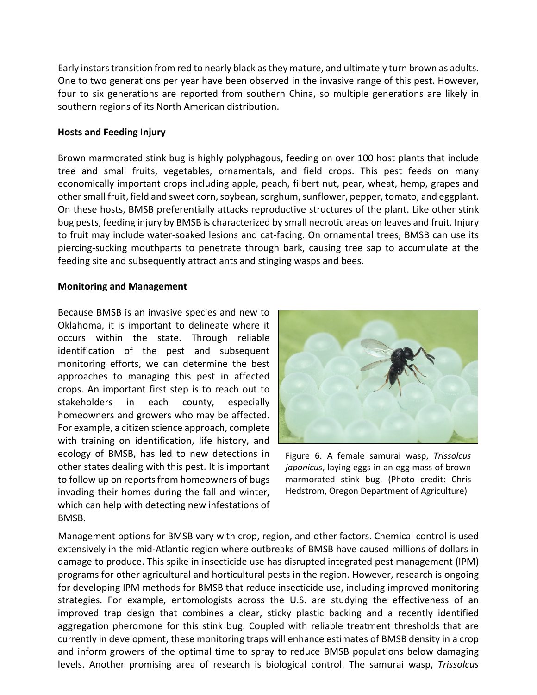Early instars transition from red to nearly black as they mature, and ultimately turn brown as adults. One to two generations per year have been observed in the invasive range of this pest. However, four to six generations are reported from southern China, so multiple generations are likely in southern regions of its North American distribution.

# **Hosts and Feeding Injury**

Brown marmorated stink bug is highly polyphagous, feeding on over 100 host plants that include tree and small fruits, vegetables, ornamentals, and field crops. This pest feeds on many economically important crops including apple, peach, filbert nut, pear, wheat, hemp, grapes and other small fruit, field and sweet corn, soybean, sorghum, sunflower, pepper, tomato, and eggplant. On these hosts, BMSB preferentially attacks reproductive structures of the plant. Like other stink bug pests, feeding injury by BMSB is characterized by small necrotic areas on leaves and fruit. Injury to fruit may include water-soaked lesions and cat-facing. On ornamental trees, BMSB can use its piercing-sucking mouthparts to penetrate through bark, causing tree sap to accumulate at the feeding site and subsequently attract ants and stinging wasps and bees.

## **Monitoring and Management**

Because BMSB is an invasive species and new to Oklahoma, it is important to delineate where it occurs within the state. Through reliable identification of the pest and subsequent monitoring efforts, we can determine the best approaches to managing this pest in affected crops. An important first step is to reach out to stakeholders in each county, especially homeowners and growers who may be affected. For example, a citizen science approach, complete with training on identification, life history, and ecology of BMSB, has led to new detections in other states dealing with this pest. It is important to follow up on reports from homeowners of bugs invading their homes during the fall and winter, which can help with detecting new infestations of BMSB.



Figure 6. A female samurai wasp, *Trissolcus japonicus*, laying eggs in an egg mass of brown marmorated stink bug. (Photo credit: Chris Hedstrom, Oregon Department of Agriculture)

Management options for BMSB vary with crop, region, and other factors. Chemical control is used extensively in the mid-Atlantic region where outbreaks of BMSB have caused millions of dollars in damage to produce. This spike in insecticide use has disrupted integrated pest management (IPM) programs for other agricultural and horticultural pests in the region. However, research is ongoing for developing IPM methods for BMSB that reduce insecticide use, including improved monitoring strategies. For example, entomologists across the U.S. are studying the effectiveness of an improved trap design that combines a clear, sticky plastic backing and a recently identified aggregation pheromone for this stink bug. Coupled with reliable treatment thresholds that are currently in development, these monitoring traps will enhance estimates of BMSB density in a crop and inform growers of the optimal time to spray to reduce BMSB populations below damaging levels. Another promising area of research is biological control. The samurai wasp, *Trissolcus*